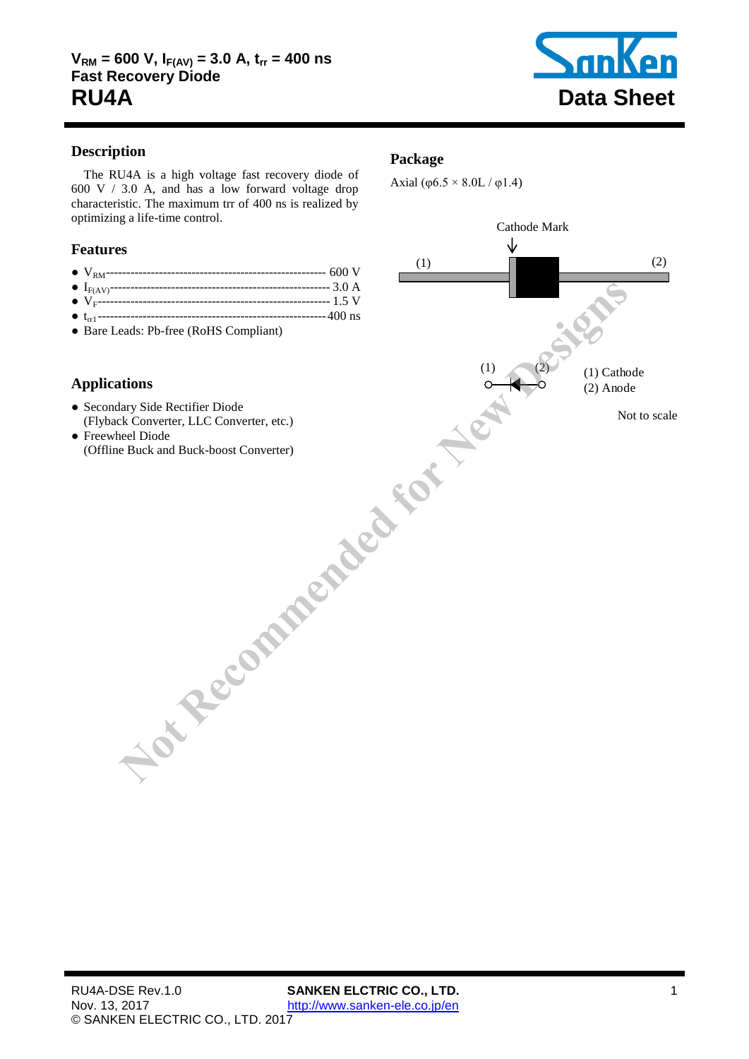

# **Description**

The RU4A is a high voltage fast recovery diode of [600](#page-1-0) V / [3.0](#page-1-1) A, and has a low forward voltage drop characteristic. The maximum trr of [400](#page-1-2) ns is realized by optimizing a life-time control.

# **Features**

- VRM------------------------------------------------------ [600](#page-1-0) V
- IF(AV)------------------------------------------------------ 3.0 A
- VF--------------------------------------------------------- 1.5 V
- trr1 -------------------------------------------------------- 400 ns
- Bare Leads: Pb-free (RoHS Compliant)

# **Applications**

- Secondary Side Rectifier Diode (Flyback Converter, LLC Converter, etc.)
- Freewheel Diode (Offline Buck and Buck-boost Converter)

## **Package**

Axial ( $\varphi$ 6.5 × 8.0L /  $\varphi$ 1.4)

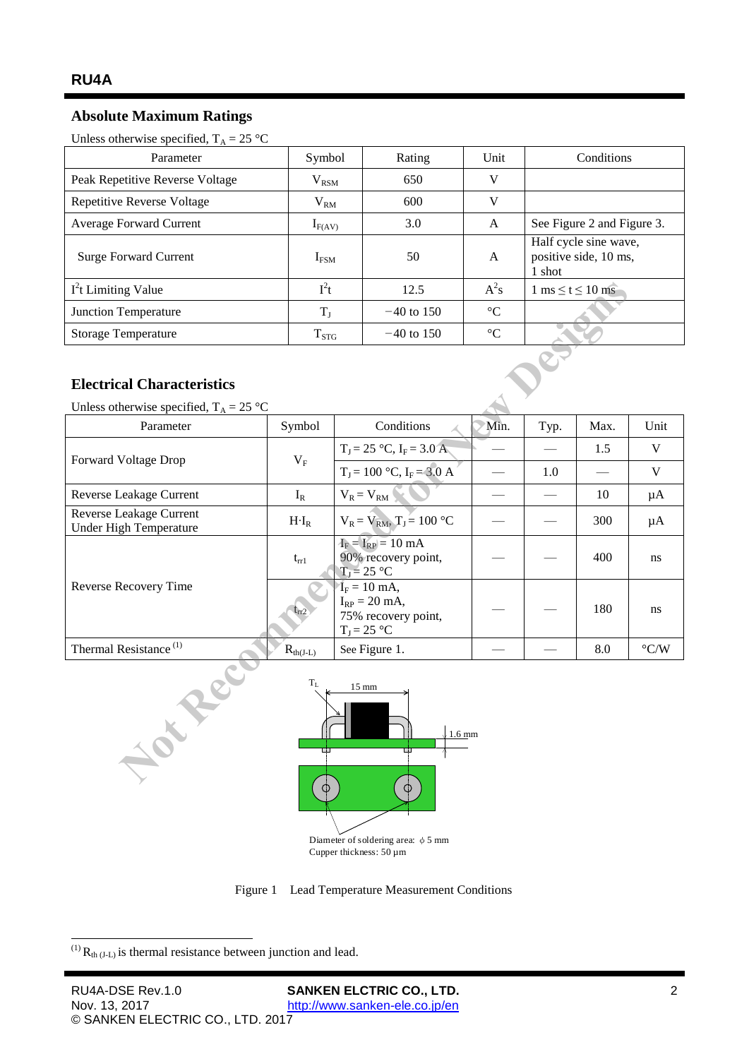# **Absolute Maximum Ratings**

<span id="page-1-1"></span><span id="page-1-0"></span>Unless otherwise specified,  $T_A = 25 \text{ °C}$ 

| Parameter                         | Symbol           | Rating       | Unit            | Conditions                                               |  |
|-----------------------------------|------------------|--------------|-----------------|----------------------------------------------------------|--|
| Peak Repetitive Reverse Voltage   | $\rm V_{RSM}$    | 650          | V               |                                                          |  |
| <b>Repetitive Reverse Voltage</b> | $\rm V_{RM}$     | 600          | V               |                                                          |  |
| <b>Average Forward Current</b>    | $I_{F(AV)}$      | 3.0          | A               | See Figure 2 and Figure 3.                               |  |
| <b>Surge Forward Current</b>      | I <sub>FSM</sub> | 50           | A               | Half cycle sine wave,<br>positive side, 10 ms,<br>1 shot |  |
| $I2t$ Limiting Value              | $I^2t$           | 12.5         | $A^2s$          | $1 \text{ ms} \leq t \leq 10 \text{ ms}$                 |  |
| Junction Temperature              | $T_{I}$          | $-40$ to 150 | $\rm ^{\circ}C$ |                                                          |  |
| <b>Storage Temperature</b>        | $T_{STG}$        | $-40$ to 150 | $\rm ^{\circ}C$ |                                                          |  |

## **Electrical Characteristics**

| $I2t$ Limiting Value                                                                             | $I^2t$               |                                                                             | 12.5                           | $A^2s$          | $1 \text{ ms} \leq t \leq 10 \text{ ms}$ |      |                        |  |  |  |  |
|--------------------------------------------------------------------------------------------------|----------------------|-----------------------------------------------------------------------------|--------------------------------|-----------------|------------------------------------------|------|------------------------|--|--|--|--|
| Junction Temperature                                                                             | $T_{\rm J}$          |                                                                             | $-40$ to 150                   | $\rm ^{\circ}C$ |                                          |      |                        |  |  |  |  |
| Storage Temperature                                                                              | $T_{STG}$            |                                                                             | $-40$ to 150                   | $\rm ^{\circ}C$ |                                          |      |                        |  |  |  |  |
| <b>Electrical Characteristics</b>                                                                |                      |                                                                             |                                |                 |                                          |      |                        |  |  |  |  |
| Unless otherwise specified, $T_A = 25$ °C                                                        |                      |                                                                             |                                |                 |                                          |      |                        |  |  |  |  |
| Parameter                                                                                        | Symbol               | Conditions                                                                  |                                | Min.            | Typ.                                     | Max. | Unit                   |  |  |  |  |
| Forward Voltage Drop                                                                             | $V_F$                |                                                                             | $T_J = 25 °C$ , $I_F = 3.0 A$  |                 |                                          | 1.5  | V                      |  |  |  |  |
|                                                                                                  |                      |                                                                             | $T_J = 100 °C$ , $I_F = 3.0 A$ |                 | 1.0                                      |      | $\mathbf V$            |  |  |  |  |
| Reverse Leakage Current                                                                          | $I_R$                | $V_R = V_{RM}$                                                              |                                |                 |                                          | 10   | μA                     |  |  |  |  |
| Reverse Leakage Current<br>Under High Temperature                                                | $H \cdot I_R$        | $V_R = V_{RM}$ , $T_J = 100 °C$                                             |                                |                 |                                          | 300  | μA                     |  |  |  |  |
| Reverse Recovery Time                                                                            | $t_{rr1}$            | $I_F = I_{RP} = 10$ mA<br>90% recovery point,<br>$T_J = 25 °C$              |                                |                 |                                          | 400  | ns                     |  |  |  |  |
|                                                                                                  | $t_{rr2}$            | $I_F = 10$ mA,<br>$I_{RP} = 20$ mA,<br>75% recovery point,<br>$T_J = 25 °C$ |                                |                 |                                          | 180  | ns                     |  |  |  |  |
| Thermal Resistance <sup>(1)</sup>                                                                | $R_{\text{th}(J-L)}$ | See Figure 1.                                                               |                                |                 |                                          | 8.0  | $^{\circ}\textrm{C/W}$ |  |  |  |  |
| $\rm T_L$<br>$15 \text{ mm}$<br>NOTE<br>$\sqrt{1.6 \text{ mm}}$<br>ш<br>œ<br>$\circledcirc$<br>Φ |                      |                                                                             |                                |                 |                                          |      |                        |  |  |  |  |

<span id="page-1-3"></span><span id="page-1-2"></span>

Figure 1 Lead Temperature Measurement Conditions

<span id="page-1-4"></span>-

 $^{(1)}$  R<sub>th (J-L)</sub> is thermal resistance between junction and lead.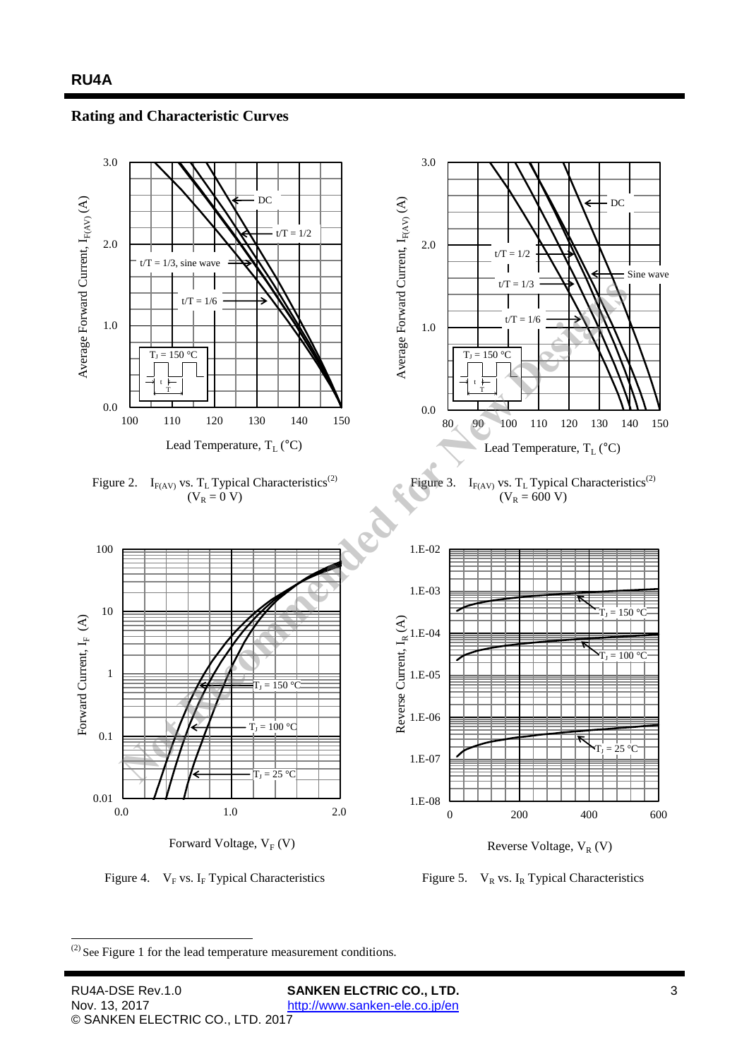### **Rating and Characteristic Curves**

<span id="page-2-1"></span><span id="page-2-0"></span>

Figure 4.  $V_F$  vs. I<sub>F</sub> Typical Characteristics Figure 5.  $V_R$  vs. I<sub>R</sub> Typical Characteristics

- $(2)$  See [Figure 1](#page-1-4) for the lead temperature measurement conditions.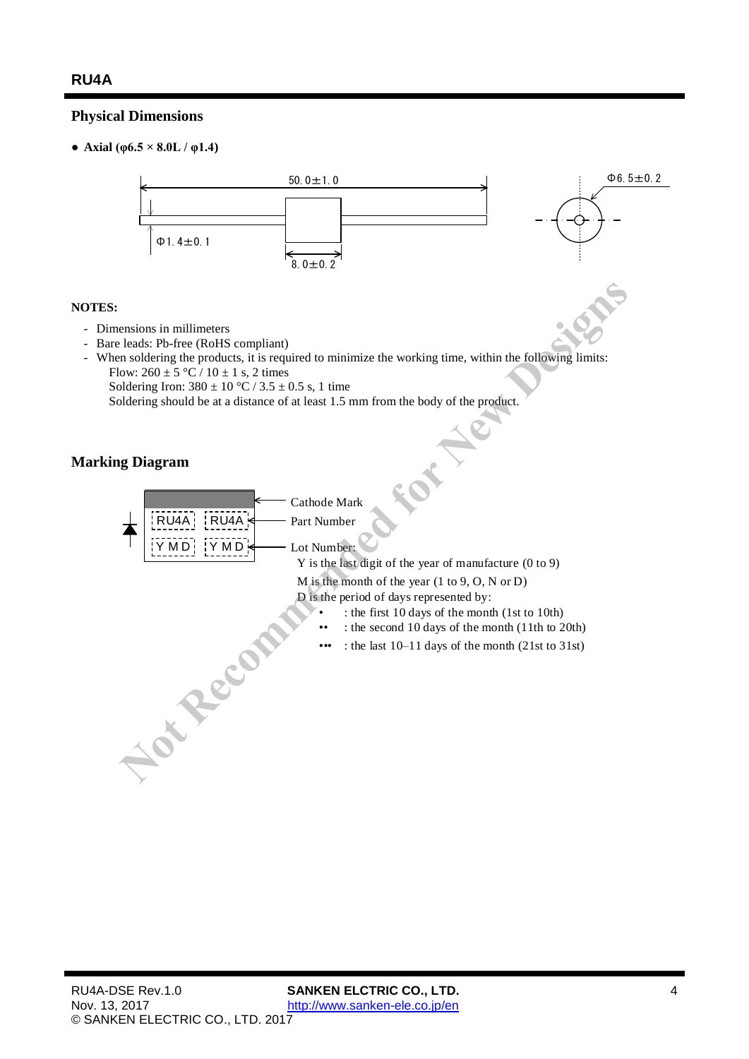# **Physical Dimensions**

• **Axial** (φ6.5  $\times$  8.0L / φ1.4)



#### **NOTES:**

- Dimensions in millimeters
- Bare leads: Pb-free (RoHS compliant)
- When soldering the products, it is required to minimize the working time, within the following limits: Flow:  $260 \pm 5 \degree C / 10 \pm 1$  s, 2 times

Soldering Iron:  $380 \pm 10$  °C /  $3.5 \pm 0.5$  s, 1 time

Soldering should be at a distance of at least 1.5 mm from the body of the product.

## **Marking Diagram**